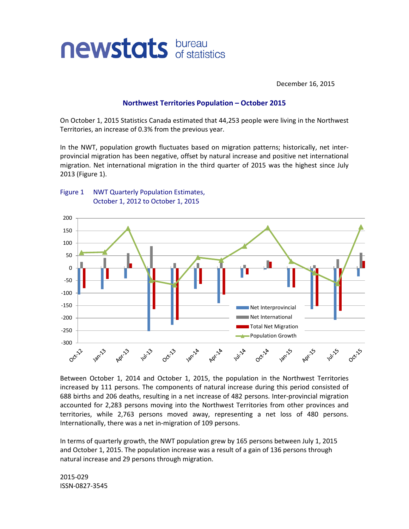

December 16, 2015

## **Northwest Territories Population – October 2015**

On October 1, 2015 Statistics Canada estimated that 44,253 people were living in the Northwest Territories, an increase of 0.3% from the previous year.

In the NWT, population growth fluctuates based on migration patterns; historically, net interprovincial migration has been negative, offset by natural increase and positive net international migration. Net international migration in the third quarter of 2015 was the highest since July 2013 (Figure 1).





Between October 1, 2014 and October 1, 2015, the population in the Northwest Territories increased by 111 persons. The components of natural increase during this period consisted of 688 births and 206 deaths, resulting in a net increase of 482 persons. Inter-provincial migration accounted for 2,283 persons moving into the Northwest Territories from other provinces and territories, while 2,763 persons moved away, representing a net loss of 480 persons. Internationally, there was a net in-migration of 109 persons.

In terms of quarterly growth, the NWT population grew by 165 persons between July 1, 2015 and October 1, 2015. The population increase was a result of a gain of 136 persons through natural increase and 29 persons through migration.

2015-029 ISSN-0827-3545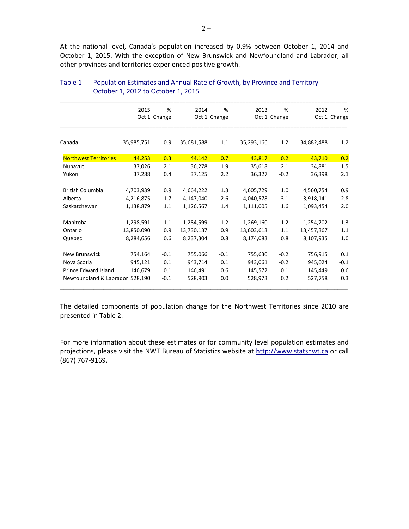At the national level, Canada's population increased by 0.9% between October 1, 2014 and October 1, 2015. With the exception of New Brunswick and Newfoundland and Labrador, all other provinces and territories experienced positive growth.

|                                 | 2015         | %      | 2014         | %      | 2013       | %            | 2012       | %            |
|---------------------------------|--------------|--------|--------------|--------|------------|--------------|------------|--------------|
|                                 | Oct 1 Change |        | Oct 1 Change |        |            | Oct 1 Change |            | Oct 1 Change |
|                                 |              |        |              |        |            |              |            |              |
| Canada                          | 35,985,751   | 0.9    | 35,681,588   | 1.1    | 35,293,166 | 1.2          | 34,882,488 | 1.2          |
| <b>Northwest Territories</b>    | 44,253       | 0.3    | 44,142       | 0.7    | 43,817     | 0.2          | 43,710     | 0.2          |
| Nunavut                         | 37,026       | 2.1    | 36,278       | 1.9    | 35,618     | 2.1          | 34,881     | 1.5          |
| Yukon                           | 37,288       | 0.4    | 37,125       | 2.2    | 36,327     | $-0.2$       | 36,398     | 2.1          |
| <b>British Columbia</b>         | 4,703,939    | 0.9    | 4,664,222    | 1.3    | 4,605,729  | 1.0          | 4,560,754  | 0.9          |
| Alberta                         | 4,216,875    | 1.7    | 4,147,040    | 2.6    | 4,040,578  | 3.1          | 3,918,141  | 2.8          |
| Saskatchewan                    | 1,138,879    | 1.1    | 1,126,567    | 1.4    | 1,111,005  | 1.6          | 1,093,454  | 2.0          |
| Manitoba                        | 1,298,591    | 1.1    | 1,284,599    | 1.2    | 1,269,160  | 1.2          | 1,254,702  | 1.3          |
| Ontario                         | 13,850,090   | 0.9    | 13,730,137   | 0.9    | 13,603,613 | 1.1          | 13,457,367 | 1.1          |
| Quebec                          | 8,284,656    | 0.6    | 8,237,304    | 0.8    | 8,174,083  | 0.8          | 8,107,935  | 1.0          |
| <b>New Brunswick</b>            | 754,164      | $-0.1$ | 755,066      | $-0.1$ | 755,630    | $-0.2$       | 756,915    | 0.1          |
| Nova Scotia                     | 945,121      | 0.1    | 943,714      | 0.1    | 943,061    | $-0.2$       | 945,024    | $-0.1$       |
| Prince Edward Island            | 146,679      | 0.1    | 146,491      | 0.6    | 145,572    | 0.1          | 145,449    | 0.6          |
| Newfoundland & Labrador 528.190 |              | $-0.1$ | 528,903      | 0.0    | 528,973    | 0.2          | 527,758    | 0.3          |

## Table 1 Population Estimates and Annual Rate of Growth, by Province and Territory October 1, 2012 to October 1, 2015

The detailed components of population change for the Northwest Territories since 2010 are presented in Table 2.

For more information about these estimates or for community level population estimates and projections, please visit the NWT Bureau of Statistics website at http://www.statsnwt.ca or call (867) 767-9169.